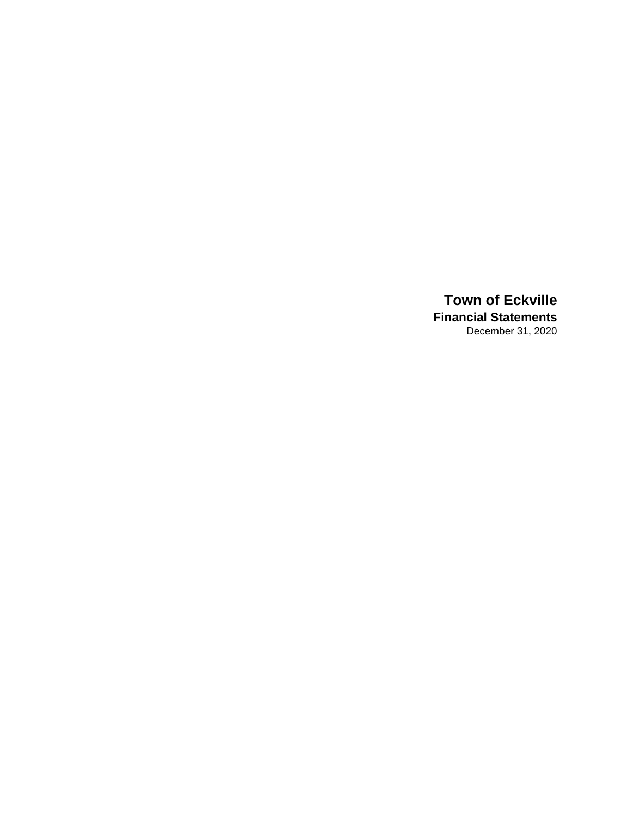**Town of Eckville Financial Statements**  December 31, 2020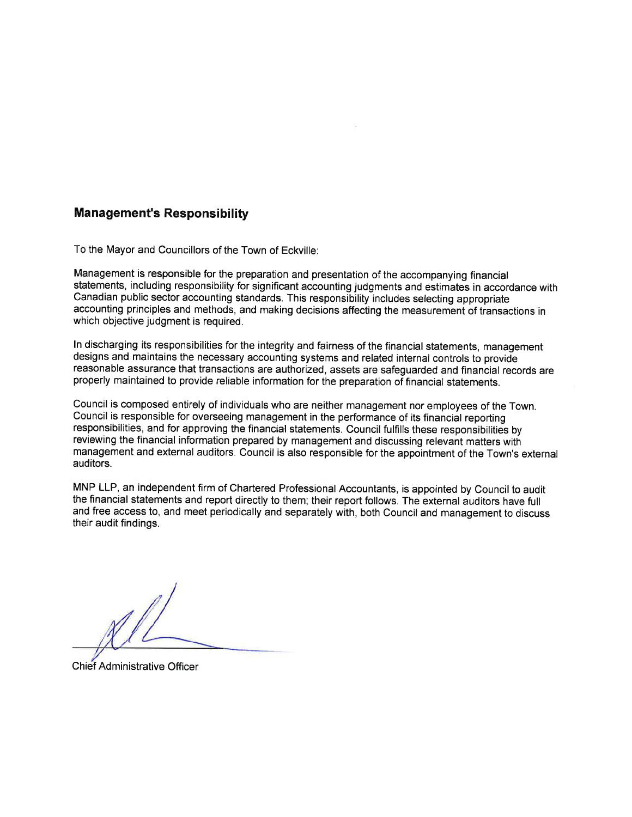### **Management's Responsibility**

To the Mayor and Councillors of the Town of Eckville:

Management is responsible for the preparation and presentation of the accompanying financial statements, including responsibility for significant accounting judgments and estimates in accordance with Canadian public sector accounting standards. This responsibility includes selecting appropriate accounting principles and methods, and making decisions affecting the measurement of transactions in which objective judgment is required.

In discharging its responsibilities for the integrity and fairness of the financial statements, management designs and maintains the necessary accounting systems and related internal controls to provide reasonable assurance that transactions are authorized, assets are safeguarded and financial records are properly maintained to provide reliable information for the preparation of financial statements.

Council is composed entirely of individuals who are neither management nor employees of the Town. Council is responsible for overseeing management in the performance of its financial reporting responsibilities, and for approving the financial statements. Council fulfills these responsibilities by reviewing the financial information prepared by management and discussing relevant matters with management and external auditors. Council is also responsible for the appointment of the Town's external auditors.

MNP LLP, an independent firm of Chartered Professional Accountants, is appointed by Council to audit the financial statements and report directly to them; their report follows. The external auditors have full and free access to, and meet periodically and separately with, both Council and management to discuss their audit findings.

**Chief Administrative Officer**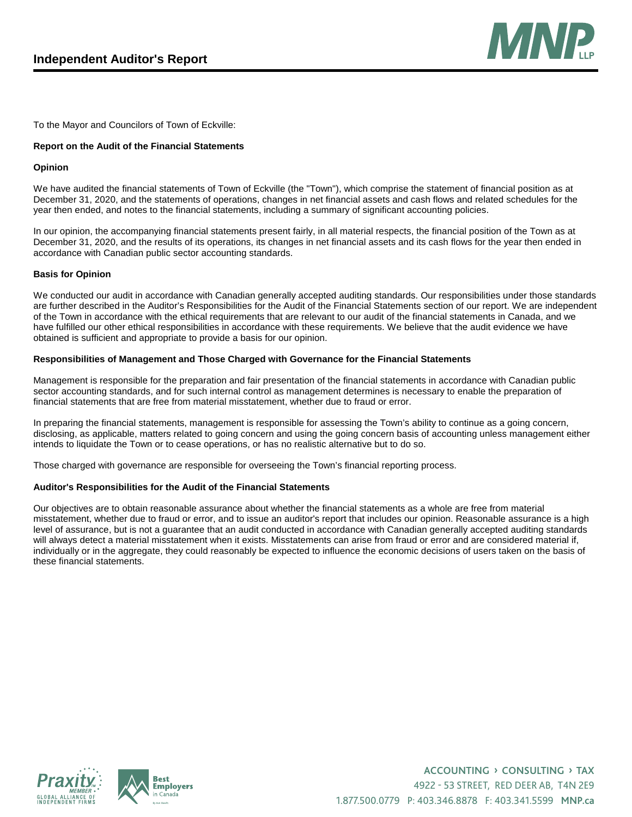

To the Mayor and Councilors of Town of Eckville:

#### **Report on the Audit of the Financial Statements**

#### **Opinion**

We have audited the financial statements of Town of Eckville (the "Town"), which comprise the statement of financial position as at December 31, 2020, and the statements of operations, changes in net financial assets and cash flows and related schedules for the year then ended, and notes to the financial statements, including a summary of significant accounting policies.

In our opinion, the accompanying financial statements present fairly, in all material respects, the financial position of the Town as at December 31, 2020, and the results of its operations, its changes in net financial assets and its cash flows for the year then ended in accordance with Canadian public sector accounting standards.

#### **Basis for Opinion**

We conducted our audit in accordance with Canadian generally accepted auditing standards. Our responsibilities under those standards are further described in the Auditor's Responsibilities for the Audit of the Financial Statements section of our report. We are independent of the Town in accordance with the ethical requirements that are relevant to our audit of the financial statements in Canada, and we have fulfilled our other ethical responsibilities in accordance with these requirements. We believe that the audit evidence we have obtained is sufficient and appropriate to provide a basis for our opinion.

#### **Responsibilities of Management and Those Charged with Governance for the Financial Statements**

Management is responsible for the preparation and fair presentation of the financial statements in accordance with Canadian public sector accounting standards, and for such internal control as management determines is necessary to enable the preparation of financial statements that are free from material misstatement, whether due to fraud or error.

In preparing the financial statements, management is responsible for assessing the Town's ability to continue as a going concern, disclosing, as applicable, matters related to going concern and using the going concern basis of accounting unless management either intends to liquidate the Town or to cease operations, or has no realistic alternative but to do so.

Those charged with governance are responsible for overseeing the Town's financial reporting process.

#### **Auditor's Responsibilities for the Audit of the Financial Statements**

Our objectives are to obtain reasonable assurance about whether the financial statements as a whole are free from material misstatement, whether due to fraud or error, and to issue an auditor's report that includes our opinion. Reasonable assurance is a high level of assurance, but is not a guarantee that an audit conducted in accordance with Canadian generally accepted auditing standards will always detect a material misstatement when it exists. Misstatements can arise from fraud or error and are considered material if, individually or in the aggregate, they could reasonably be expected to influence the economic decisions of users taken on the basis of these financial statements.



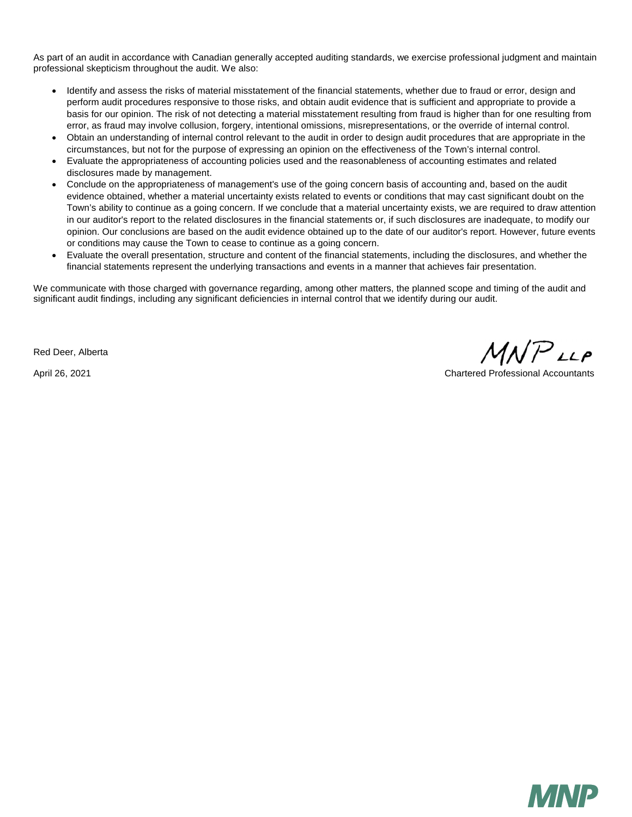As part of an audit in accordance with Canadian generally accepted auditing standards, we exercise professional judgment and maintain professional skepticism throughout the audit. We also:

- Identify and assess the risks of material misstatement of the financial statements, whether due to fraud or error, design and perform audit procedures responsive to those risks, and obtain audit evidence that is sufficient and appropriate to provide a basis for our opinion. The risk of not detecting a material misstatement resulting from fraud is higher than for one resulting from error, as fraud may involve collusion, forgery, intentional omissions, misrepresentations, or the override of internal control.
- Obtain an understanding of internal control relevant to the audit in order to design audit procedures that are appropriate in the circumstances, but not for the purpose of expressing an opinion on the effectiveness of the Town's internal control.
- Evaluate the appropriateness of accounting policies used and the reasonableness of accounting estimates and related disclosures made by management.
- Conclude on the appropriateness of management's use of the going concern basis of accounting and, based on the audit evidence obtained, whether a material uncertainty exists related to events or conditions that may cast significant doubt on the Town's ability to continue as a going concern. If we conclude that a material uncertainty exists, we are required to draw attention in our auditor's report to the related disclosures in the financial statements or, if such disclosures are inadequate, to modify our opinion. Our conclusions are based on the audit evidence obtained up to the date of our auditor's report. However, future events or conditions may cause the Town to cease to continue as a going concern.
- Evaluate the overall presentation, structure and content of the financial statements, including the disclosures, and whether the financial statements represent the underlying transactions and events in a manner that achieves fair presentation.

We communicate with those charged with governance regarding, among other matters, the planned scope and timing of the audit and significant audit findings, including any significant deficiencies in internal control that we identify during our audit.

Red Deer, Alberta

 $MNP$ LLP

April 26, 2021 Chartered Professional Accountants

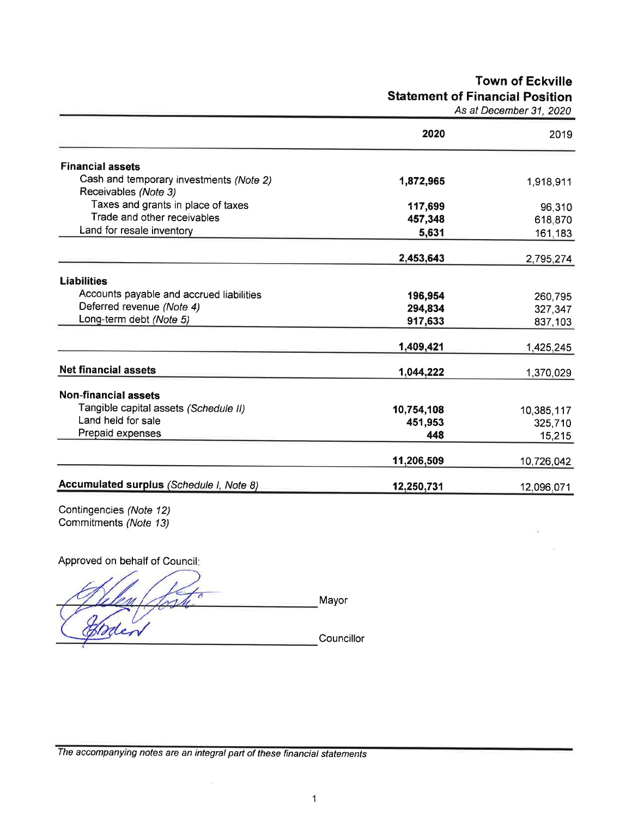|                                        | <b>Town of Eckville</b> |  |
|----------------------------------------|-------------------------|--|
| <b>Statement of Financial Position</b> |                         |  |

|  | As at December 31, 2020 |  |  |
|--|-------------------------|--|--|
|--|-------------------------|--|--|

|                                                                 | 2020       | 2019       |
|-----------------------------------------------------------------|------------|------------|
| <b>Financial assets</b>                                         |            |            |
| Cash and temporary investments (Note 2)<br>Receivables (Note 3) | 1,872,965  | 1,918,911  |
| Taxes and grants in place of taxes                              | 117,699    | 96,310     |
| Trade and other receivables                                     | 457,348    | 618,870    |
| Land for resale inventory                                       | 5,631      | 161,183    |
|                                                                 | 2,453,643  | 2,795,274  |
| <b>Liabilities</b>                                              |            |            |
| Accounts payable and accrued liabilities                        | 196,954    | 260,795    |
| Deferred revenue (Note 4)                                       | 294,834    | 327,347    |
| Long-term debt (Note 5)                                         | 917,633    | 837,103    |
|                                                                 | 1,409,421  | 1,425,245  |
| <b>Net financial assets</b>                                     | 1,044,222  | 1,370,029  |
| <b>Non-financial assets</b>                                     |            |            |
| Tangible capital assets (Schedule II)                           | 10,754,108 | 10,385,117 |
| Land held for sale                                              | 451,953    | 325,710    |
| Prepaid expenses                                                | 448        | 15,215     |
|                                                                 | 11,206,509 | 10,726,042 |
| Accumulated surplus (Schedule I, Note 8)                        | 12,250,731 | 12,096,071 |

Contingencies (Note 12)<br>Commitments (Note 13)

Approved on behalf of Council:

Mayor men Councillor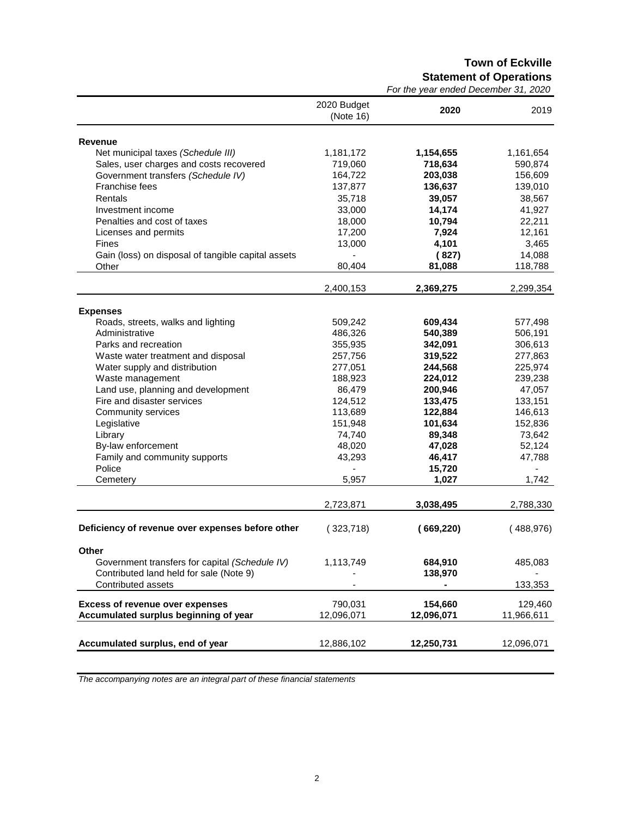### **Town of Eckville Statement of Operations**

|                                                    |             | Turneyear ended December 31, 2020 |            |
|----------------------------------------------------|-------------|-----------------------------------|------------|
|                                                    | 2020 Budget | 2020                              | 2019       |
|                                                    | (Note 16)   |                                   |            |
| Revenue                                            |             |                                   |            |
| Net municipal taxes (Schedule III)                 | 1,181,172   | 1,154,655                         | 1,161,654  |
| Sales, user charges and costs recovered            | 719,060     | 718,634                           | 590,874    |
| Government transfers (Schedule IV)                 | 164,722     | 203,038                           | 156,609    |
| Franchise fees                                     | 137,877     | 136,637                           | 139,010    |
| Rentals                                            | 35,718      | 39,057                            | 38,567     |
| Investment income                                  | 33,000      | 14,174                            | 41,927     |
| Penalties and cost of taxes                        | 18,000      | 10,794                            | 22,211     |
| Licenses and permits                               | 17,200      | 7,924                             | 12,161     |
| Fines                                              | 13,000      | 4,101                             | 3,465      |
| Gain (loss) on disposal of tangible capital assets |             | (827)                             | 14,088     |
| Other                                              | 80,404      | 81,088                            | 118,788    |
|                                                    | 2,400,153   | 2,369,275                         | 2,299,354  |
|                                                    |             |                                   |            |
| <b>Expenses</b>                                    |             |                                   |            |
| Roads, streets, walks and lighting                 | 509,242     | 609,434                           | 577,498    |
| Administrative                                     | 486,326     | 540,389                           | 506,191    |
| Parks and recreation                               | 355,935     | 342,091                           | 306,613    |
| Waste water treatment and disposal                 | 257,756     | 319,522                           | 277,863    |
| Water supply and distribution                      | 277,051     | 244,568                           | 225,974    |
| Waste management                                   | 188,923     | 224,012                           | 239,238    |
| Land use, planning and development                 | 86,479      | 200,946                           | 47,057     |
| Fire and disaster services                         | 124,512     | 133,475                           | 133,151    |
| Community services                                 | 113,689     | 122,884                           | 146,613    |
| Legislative                                        | 151,948     | 101,634                           | 152,836    |
| Library                                            | 74,740      | 89,348                            | 73,642     |
| By-law enforcement                                 | 48,020      | 47,028                            | 52,124     |
| Family and community supports                      | 43,293      | 46,417                            | 47,788     |
| Police                                             |             | 15,720                            |            |
| Cemetery                                           | 5,957       | 1,027                             | 1,742      |
|                                                    | 2,723,871   | 3,038,495                         | 2,788,330  |
| Deficiency of revenue over expenses before other   | (323,718)   | (669, 220)                        | (488, 976) |
| Other                                              |             |                                   |            |
| Government transfers for capital (Schedule IV)     | 1,113,749   | 684,910                           | 485,083    |
| Contributed land held for sale (Note 9)            |             | 138,970                           |            |
| Contributed assets                                 |             |                                   | 133,353    |
| <b>Excess of revenue over expenses</b>             | 790,031     | 154,660                           | 129,460    |
| Accumulated surplus beginning of year              | 12,096,071  | 12,096,071                        | 11,966,611 |
|                                                    |             |                                   |            |
| Accumulated surplus, end of year                   | 12,886,102  | 12,250,731                        | 12,096,071 |
|                                                    |             |                                   |            |

*For the year ended December 31, 2020*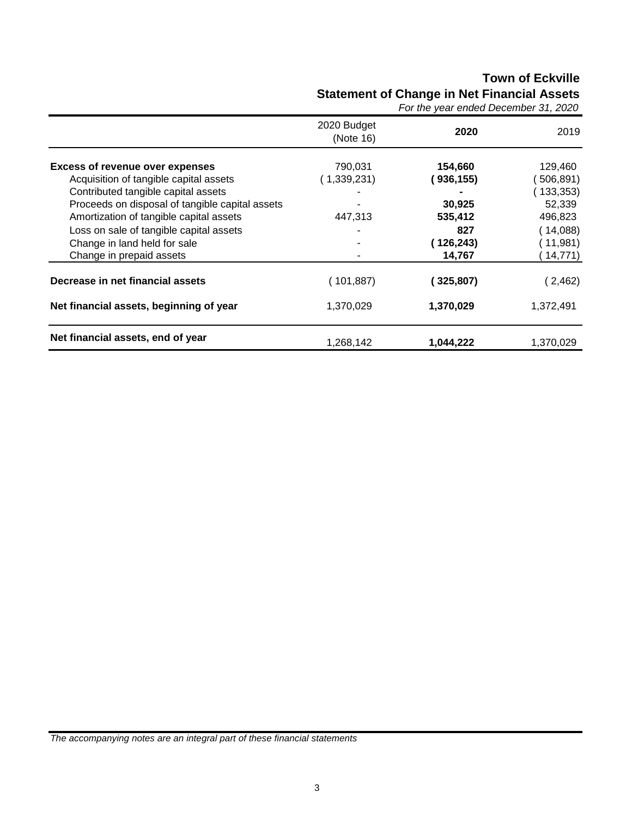## **Town of Eckville Statement of Change in Net Financial Assets**

*For the year ended December 31, 2020*

|                                                 | 2020 Budget<br>(Note 16) | 2020      | 2019       |
|-------------------------------------------------|--------------------------|-----------|------------|
| <b>Excess of revenue over expenses</b>          | 790.031                  | 154,660   | 129.460    |
| Acquisition of tangible capital assets          | (1,339,231)              | 936,155)  | 506,891)   |
| Contributed tangible capital assets             |                          |           | (133, 353) |
| Proceeds on disposal of tangible capital assets |                          | 30,925    | 52,339     |
| Amortization of tangible capital assets         | 447,313                  | 535,412   | 496,823    |
| Loss on sale of tangible capital assets         |                          | 827       | (14,088)   |
| Change in land held for sale                    |                          | 126,243)  | (11,981)   |
| Change in prepaid assets                        |                          | 14,767    | 14,771)    |
| Decrease in net financial assets                | (101,887)                | 325,807   | (2,462)    |
| Net financial assets, beginning of year         | 1,370,029                | 1,370,029 | 1,372,491  |
| Net financial assets, end of year               | 1,268,142                | 1.044.222 | 1.370.029  |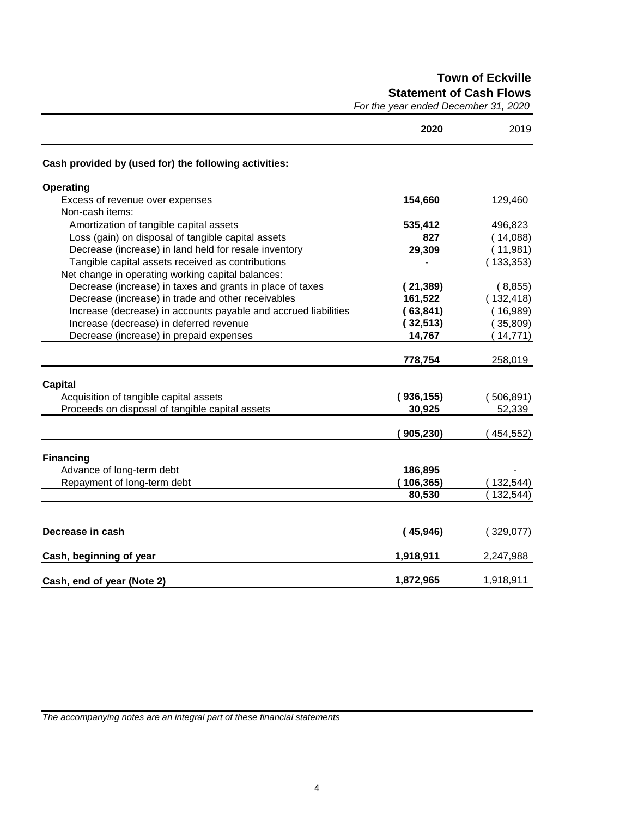### **Town of Eckville Statement of Cash Flows**

|                                                                 | 2020       | 2019       |
|-----------------------------------------------------------------|------------|------------|
| Cash provided by (used for) the following activities:           |            |            |
| <b>Operating</b>                                                |            |            |
| Excess of revenue over expenses                                 | 154,660    | 129,460    |
| Non-cash items:                                                 |            |            |
| Amortization of tangible capital assets                         | 535,412    | 496,823    |
| Loss (gain) on disposal of tangible capital assets              | 827        | (14,088)   |
| Decrease (increase) in land held for resale inventory           | 29,309     | (11,981)   |
| Tangible capital assets received as contributions               |            | (133, 353) |
| Net change in operating working capital balances:               |            |            |
| Decrease (increase) in taxes and grants in place of taxes       | (21, 389)  | (8,855)    |
| Decrease (increase) in trade and other receivables              | 161,522    | (132, 418) |
| Increase (decrease) in accounts payable and accrued liabilities | (63, 841)  | (16,989)   |
| Increase (decrease) in deferred revenue                         | (32,513)   | 35,809)    |
| Decrease (increase) in prepaid expenses                         | 14,767     | 14,771)    |
|                                                                 | 778,754    | 258,019    |
|                                                                 |            |            |
| <b>Capital</b>                                                  |            |            |
| Acquisition of tangible capital assets                          | (936, 155) | (506, 891) |
| Proceeds on disposal of tangible capital assets                 | 30,925     | 52,339     |
|                                                                 | 905,230)   | 454,552)   |
|                                                                 |            |            |
| <b>Financing</b>                                                |            |            |
| Advance of long-term debt                                       | 186,895    |            |
| Repayment of long-term debt                                     | 106,365)   | (132, 544) |
|                                                                 | 80,530     | 132,544)   |
|                                                                 |            |            |
| Decrease in cash                                                | (45,946)   | (329,077)  |
| Cash, beginning of year                                         | 1,918,911  | 2,247,988  |
|                                                                 |            |            |
| Cash, end of year (Note 2)                                      | 1,872,965  | 1,918,911  |

*For the year ended December 31, 2020*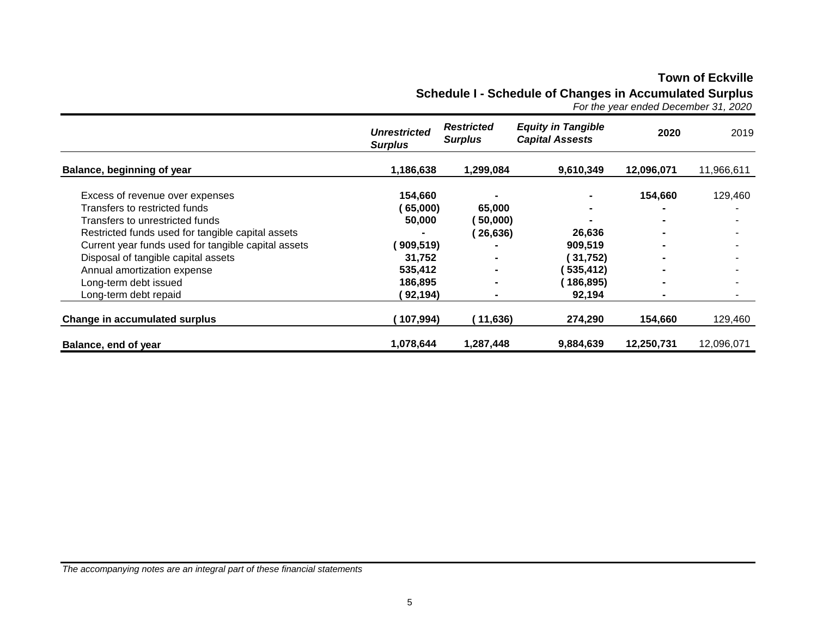### **Town of Eckville**

 **Schedule I - Schedule of Changes in Accumulated Surplus**

*For the year ended December 31, 2020*

|                                                     | <b>Unrestricted</b><br><b>Surplus</b> | <b>Restricted</b><br><b>Surplus</b> | <b>Equity in Tangible</b><br><b>Capital Assests</b> | 2020           | 2019       |  |
|-----------------------------------------------------|---------------------------------------|-------------------------------------|-----------------------------------------------------|----------------|------------|--|
| Balance, beginning of year                          | 1,186,638                             | 1,299,084                           | 9,610,349                                           | 12,096,071     | 11,966,611 |  |
| Excess of revenue over expenses                     | 154,660                               |                                     |                                                     | 154,660        | 129,460    |  |
| Transfers to restricted funds                       | (65,000)                              | 65,000                              |                                                     |                |            |  |
| Transfers to unrestricted funds                     | 50,000                                | 50,000)                             |                                                     |                |            |  |
| Restricted funds used for tangible capital assets   |                                       | (26, 636)                           | 26,636                                              |                |            |  |
| Current year funds used for tangible capital assets | 909,519                               |                                     | 909,519                                             |                |            |  |
| Disposal of tangible capital assets                 | 31,752                                |                                     | ( 31,752)                                           |                |            |  |
| Annual amortization expense                         | 535,412                               |                                     | 535,412)                                            | $\blacksquare$ |            |  |
| Long-term debt issued                               | 186,895                               |                                     | 186,895)                                            |                |            |  |
| Long-term debt repaid                               | (92, 194)                             |                                     | 92,194                                              |                |            |  |
| <b>Change in accumulated surplus</b>                | 107,994                               | (11,636)                            | 274,290                                             | 154,660        | 129,460    |  |
| Balance, end of year                                | 1,078,644                             | 1,287,448                           | 9,884,639                                           | 12,250,731     | 12,096,071 |  |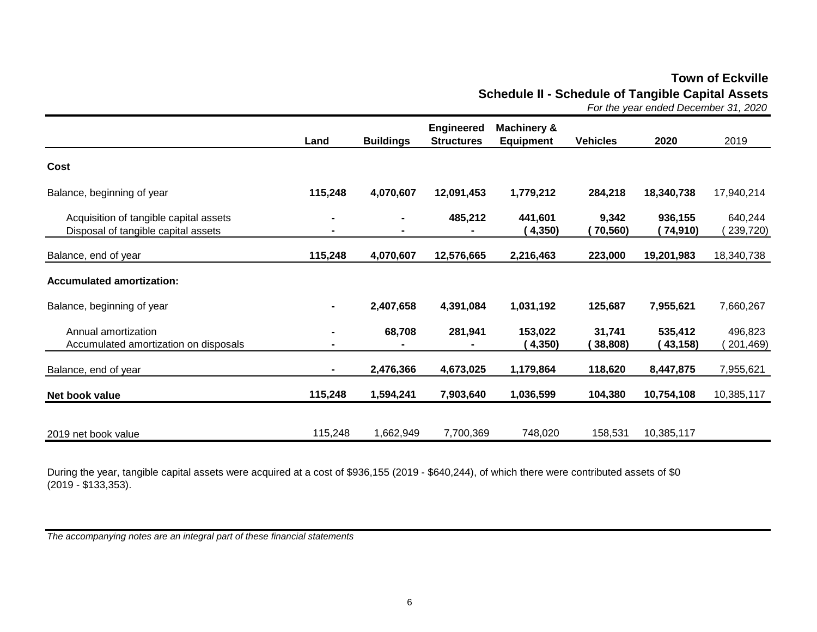### **Town of Eckville Schedule II - Schedule of Tangible Capital Assets** *For the year ended December 31, 2020*

|                                                                               | Land           | <b>Buildings</b>    | <b>Engineered</b><br><b>Structures</b> | <b>Machinery &amp;</b><br><b>Equipment</b> | <b>Vehicles</b>   | 2020                | 2019                |
|-------------------------------------------------------------------------------|----------------|---------------------|----------------------------------------|--------------------------------------------|-------------------|---------------------|---------------------|
| Cost                                                                          |                |                     |                                        |                                            |                   |                     |                     |
| Balance, beginning of year                                                    | 115,248        | 4,070,607           | 12,091,453                             | 1,779,212                                  | 284,218           | 18,340,738          | 17,940,214          |
| Acquisition of tangible capital assets<br>Disposal of tangible capital assets |                | $\blacksquare$<br>۰ | 485,212                                | 441,601<br>(4,350)                         | 9,342<br>70,560)  | 936,155<br>(74,910) | 640,244<br>239,720) |
| Balance, end of year                                                          | 115,248        | 4,070,607           | 12,576,665                             | 2,216,463                                  | 223,000           | 19,201,983          | 18,340,738          |
| <b>Accumulated amortization:</b>                                              |                |                     |                                        |                                            |                   |                     |                     |
| Balance, beginning of year                                                    | $\blacksquare$ | 2,407,658           | 4,391,084                              | 1,031,192                                  | 125,687           | 7,955,621           | 7,660,267           |
| Annual amortization<br>Accumulated amortization on disposals                  |                | 68,708              | 281,941                                | 153,022<br>4,350)                          | 31,741<br>38,808) | 535,412<br>43,158)  | 496,823<br>201,469) |
| Balance, end of year                                                          |                | 2,476,366           | 4,673,025                              | 1,179,864                                  | 118,620           | 8,447,875           | 7,955,621           |
| Net book value                                                                | 115,248        | 1,594,241           | 7,903,640                              | 1,036,599                                  | 104,380           | 10,754,108          | 10,385,117          |
| 2019 net book value                                                           | 115,248        | 1,662,949           | 7,700,369                              | 748,020                                    | 158,531           | 10,385,117          |                     |

During the year, tangible capital assets were acquired at a cost of \$936,155 (2019 - \$640,244), of which there were contributed assets of \$0 (2019 - \$133,353).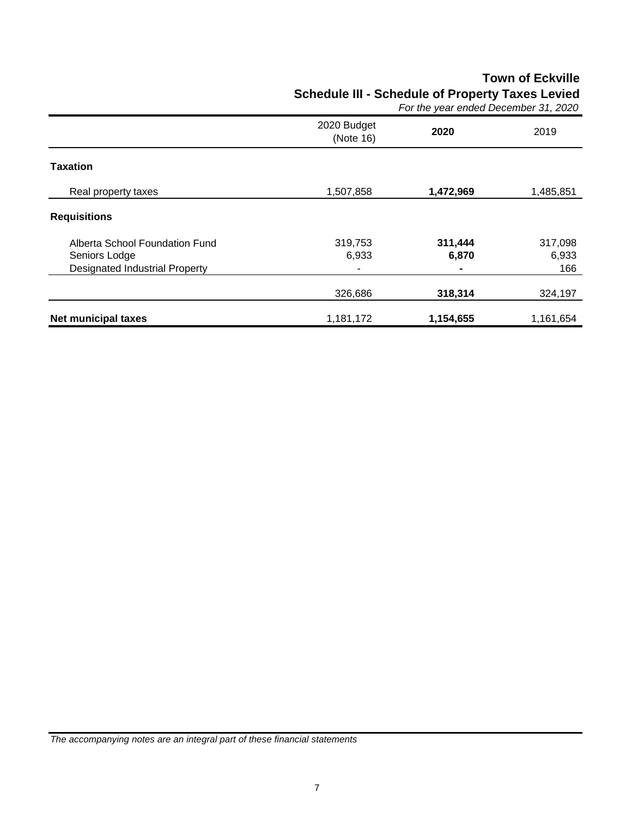### **Town of Eckville Schedule III - Schedule of Property Taxes Levied**

*For the year ended December 31, 2020*

|                                                                                          | 2020 Budget<br>(Note 16) | 2020             | 2019                    |
|------------------------------------------------------------------------------------------|--------------------------|------------------|-------------------------|
| <b>Taxation</b>                                                                          |                          |                  |                         |
| Real property taxes                                                                      | 1,507,858                | 1,472,969        | 1,485,851               |
| <b>Requisitions</b>                                                                      |                          |                  |                         |
| Alberta School Foundation Fund<br>Seniors Lodge<br><b>Designated Industrial Property</b> | 319,753<br>6,933         | 311,444<br>6,870 | 317,098<br>6,933<br>166 |
|                                                                                          | 326,686                  | 318,314          | 324,197                 |
| <b>Net municipal taxes</b>                                                               | 1,181,172                | 1,154,655        | 1,161,654               |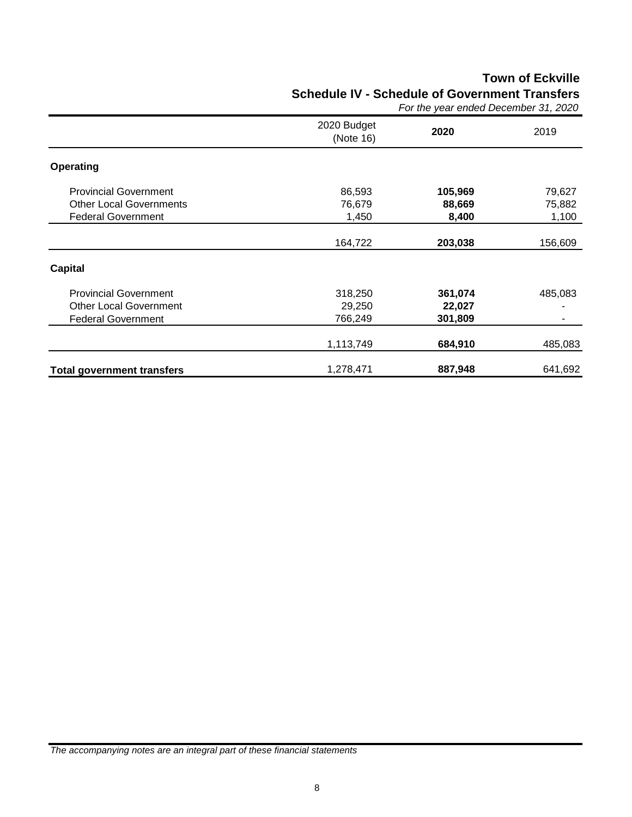## **Town of Eckville Schedule IV - Schedule of Government Transfers**

*For the year ended December 31, 2020*

|                                   | 2020 Budget<br>(Note 16) | 2020    | 2019    |
|-----------------------------------|--------------------------|---------|---------|
| <b>Operating</b>                  |                          |         |         |
| <b>Provincial Government</b>      | 86,593                   | 105,969 | 79,627  |
| <b>Other Local Governments</b>    | 76,679                   | 88,669  | 75,882  |
| <b>Federal Government</b>         | 1,450                    | 8,400   | 1,100   |
|                                   | 164,722                  | 203,038 | 156,609 |
| <b>Capital</b>                    |                          |         |         |
| <b>Provincial Government</b>      | 318,250                  | 361,074 | 485,083 |
| <b>Other Local Government</b>     | 29,250                   | 22,027  |         |
| <b>Federal Government</b>         | 766,249                  | 301,809 |         |
|                                   | 1,113,749                | 684,910 | 485,083 |
| <b>Total government transfers</b> | 1,278,471                | 887,948 | 641,692 |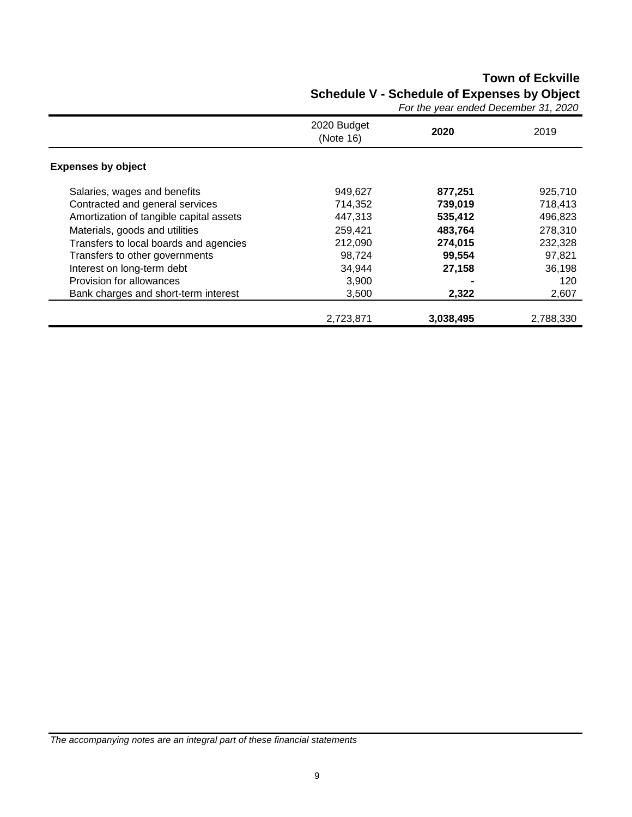## **Town of Eckville Schedule V - Schedule of Expenses by Object**

*For the year ended December 31, 2020*

|                                         | 2020 Budget<br>(Note 16) | 2020      | 2019      |
|-----------------------------------------|--------------------------|-----------|-----------|
| <b>Expenses by object</b>               |                          |           |           |
| Salaries, wages and benefits            | 949,627                  | 877,251   | 925,710   |
| Contracted and general services         | 714,352                  | 739,019   | 718,413   |
| Amortization of tangible capital assets | 447,313                  | 535,412   | 496,823   |
| Materials, goods and utilities          | 259,421                  | 483.764   | 278,310   |
| Transfers to local boards and agencies  | 212,090                  | 274,015   | 232,328   |
| Transfers to other governments          | 98,724                   | 99,554    | 97,821    |
| Interest on long-term debt              | 34,944                   | 27,158    | 36,198    |
| Provision for allowances                | 3,900                    |           | 120       |
| Bank charges and short-term interest    | 3,500                    | 2,322     | 2,607     |
|                                         | 2,723,871                | 3,038,495 | 2,788,330 |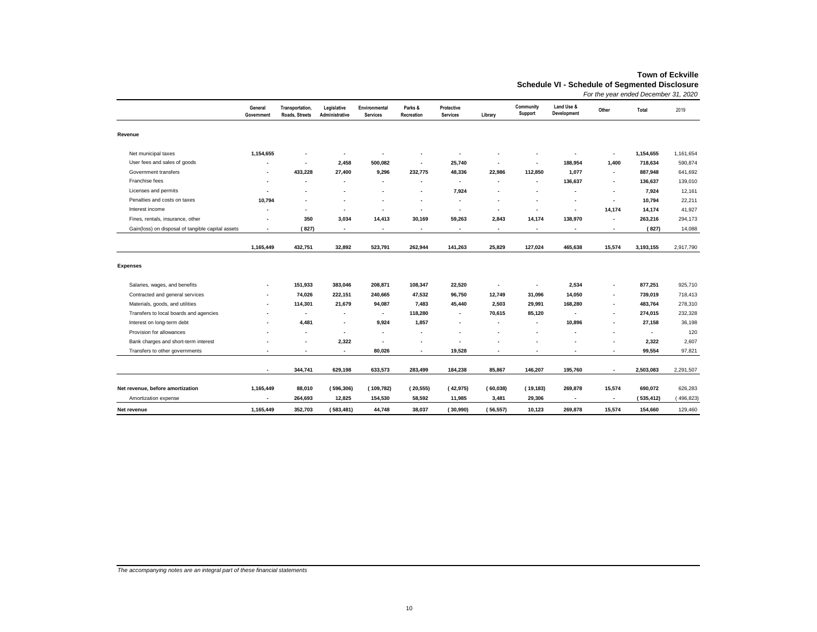#### **Town of Eckville Schedule VI - Schedule of Segmented Disclosure** *For the year ended December 31, 2020*

|                                                   | General<br>Government    | Transportation,<br>Roads, Streets | Legislative<br>Administrative | Environmental<br><b>Services</b> | Parks &<br>Recreation    | Protective<br><b>Services</b> | Library                  | Community<br>Support     | Land Use &<br>Development | Other          | Total                    | 2019       |
|---------------------------------------------------|--------------------------|-----------------------------------|-------------------------------|----------------------------------|--------------------------|-------------------------------|--------------------------|--------------------------|---------------------------|----------------|--------------------------|------------|
| Revenue                                           |                          |                                   |                               |                                  |                          |                               |                          |                          |                           |                |                          |            |
| Net municipal taxes                               | 1,154,655                |                                   |                               |                                  |                          |                               |                          |                          |                           | ٠              | 1,154,655                | 1,161,654  |
| User fees and sales of goods                      |                          | ä,                                | 2,458                         | 500,082                          | $\blacksquare$           | 25,740                        | $\blacksquare$           | $\blacksquare$           | 188,954                   | 1,400          | 718,634                  | 590,874    |
| Government transfers                              | $\blacksquare$           | 433,228                           | 27,400                        | 9,296                            | 232,775                  | 48,336                        | 22,986                   | 112,850                  | 1,077                     | ٠              | 887,948                  | 641,692    |
| Franchise fees                                    |                          | ٠                                 |                               | ٠                                | $\blacksquare$           | $\blacksquare$                | $\blacksquare$           |                          | 136.637                   |                | 136,637                  | 139,010    |
| Licenses and permits                              |                          | ٠                                 |                               | ٠                                | $\blacksquare$           | 7,924                         |                          | ٠                        |                           | ٠              | 7,924                    | 12,161     |
| Penalties and costs on taxes                      | 10,794                   |                                   |                               |                                  | $\blacksquare$           |                               |                          |                          |                           |                | 10,794                   | 22,211     |
| Interest income                                   |                          | ٠                                 |                               |                                  | $\overline{\phantom{a}}$ |                               | $\blacksquare$           | ٠                        |                           | 14,174         | 14,174                   | 41,927     |
| Fines, rentals, insurance, other                  | $\blacksquare$           | 350                               | 3,034                         | 14,413                           | 30,169                   | 59,263                        | 2,843                    | 14,174                   | 138,970                   |                | 263,216                  | 294,173    |
| Gain(loss) on disposal of tangible capital assets | $\overline{\phantom{a}}$ | (827)                             | $\blacksquare$                | $\overline{\phantom{a}}$         | $\blacksquare$           |                               | $\blacksquare$           | $\blacksquare$           |                           | ٠              | (827)                    | 14,088     |
|                                                   |                          |                                   |                               |                                  |                          |                               |                          |                          |                           |                |                          |            |
|                                                   | 1,165,449                | 432,751                           | 32,892                        | 523,791                          | 262,944                  | 141,263                       | 25,829                   | 127,024                  | 465,638                   | 15,574         | 3,193,155                | 2,917,790  |
| <b>Expenses</b>                                   |                          |                                   |                               |                                  |                          |                               |                          |                          |                           |                |                          |            |
| Salaries, wages, and benefits                     | $\overline{\phantom{a}}$ | 151,933                           | 383,046                       | 208,871                          | 108,347                  | 22,520                        | $\overline{\phantom{a}}$ | $\overline{\phantom{a}}$ | 2,534                     | ٠              | 877,251                  | 925,710    |
| Contracted and general services                   |                          | 74,026                            | 222,151                       | 240,665                          | 47,532                   | 96,750                        | 12,749                   | 31,096                   | 14,050                    | ٠              | 739,019                  | 718,413    |
| Materials, goods, and utilities                   | $\overline{\phantom{a}}$ | 114,301                           | 21,679                        | 94,087                           | 7,483                    | 45,440                        | 2,503                    | 29,991                   | 168,280                   |                | 483,764                  | 278,310    |
| Transfers to local boards and agencies            |                          | ٠                                 | $\overline{\phantom{a}}$      | $\blacksquare$                   | 118,280                  | $\overline{\phantom{a}}$      | 70,615                   | 85,120                   | $\overline{\phantom{a}}$  | ٠              | 274,015                  | 232,328    |
| Interest on long-term debt                        | $\overline{\phantom{a}}$ | 4,481                             | $\overline{\phantom{a}}$      | 9,924                            | 1,857                    |                               | $\overline{\phantom{a}}$ | ٠                        | 10,896                    | ٠              | 27,158                   | 36,198     |
| Provision for allowances                          |                          | ٠                                 | $\overline{\phantom{a}}$      | $\blacksquare$                   | $\blacksquare$           |                               |                          | ٠                        |                           | ٠              | $\overline{\phantom{a}}$ | 120        |
| Bank charges and short-term interest              |                          | ٠                                 | 2.322                         | ٠                                | ٠                        |                               |                          |                          |                           |                | 2,322                    | 2,607      |
| Transfers to other governments                    | $\overline{\phantom{a}}$ | $\blacksquare$                    | $\overline{\phantom{a}}$      | 80,026                           | $\blacksquare$           | 19,528                        | $\overline{\phantom{a}}$ | $\overline{\phantom{a}}$ | $\overline{\phantom{a}}$  | ۰              | 99,554                   | 97,821     |
|                                                   | $\overline{\phantom{a}}$ | 344,741                           | 629.198                       | 633.573                          | 283.499                  | 184,238                       | 85.867                   | 146.207                  | 195.760                   | $\blacksquare$ | 2,503,083                | 2,291,507  |
| Net revenue, before amortization                  | 1,165,449                | 88,010                            | (596, 306)                    | (109, 782)                       | (20, 555)                | (42, 975)                     | (60,038)                 | (19, 183)                | 269,878                   | 15,574         | 690,072                  | 626,283    |
| Amortization expense                              |                          | 264,693                           | 12,825                        | 154,530                          | 58,592                   | 11,985                        | 3,481                    | 29,306                   |                           |                | (535, 412)               | (496, 823) |
| Net revenue                                       | 1,165,449                | 352,703                           | (583, 481)                    | 44,748                           | 38,037                   | (30,990)                      | (56, 557)                | 10,123                   | 269,878                   | 15,574         | 154,660                  | 129,460    |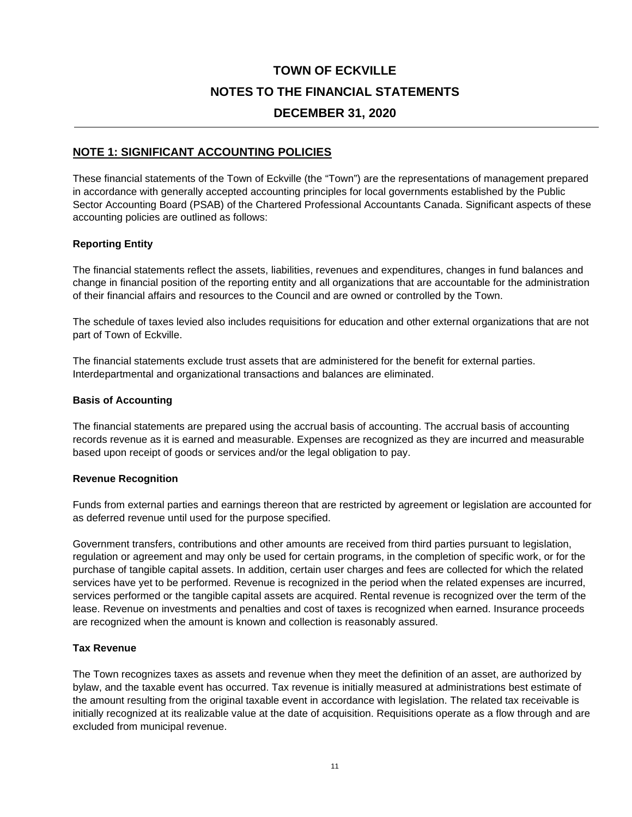### **NOTE 1: SIGNIFICANT ACCOUNTING POLICIES**

These financial statements of the Town of Eckville (the "Town") are the representations of management prepared in accordance with generally accepted accounting principles for local governments established by the Public Sector Accounting Board (PSAB) of the Chartered Professional Accountants Canada. Significant aspects of these accounting policies are outlined as follows:

### **Reporting Entity**

The financial statements reflect the assets, liabilities, revenues and expenditures, changes in fund balances and change in financial position of the reporting entity and all organizations that are accountable for the administration of their financial affairs and resources to the Council and are owned or controlled by the Town.

The schedule of taxes levied also includes requisitions for education and other external organizations that are not part of Town of Eckville.

The financial statements exclude trust assets that are administered for the benefit for external parties. Interdepartmental and organizational transactions and balances are eliminated.

### **Basis of Accounting**

The financial statements are prepared using the accrual basis of accounting. The accrual basis of accounting records revenue as it is earned and measurable. Expenses are recognized as they are incurred and measurable based upon receipt of goods or services and/or the legal obligation to pay.

### **Revenue Recognition**

Funds from external parties and earnings thereon that are restricted by agreement or legislation are accounted for as deferred revenue until used for the purpose specified.

Government transfers, contributions and other amounts are received from third parties pursuant to legislation, regulation or agreement and may only be used for certain programs, in the completion of specific work, or for the purchase of tangible capital assets. In addition, certain user charges and fees are collected for which the related services have yet to be performed. Revenue is recognized in the period when the related expenses are incurred, services performed or the tangible capital assets are acquired. Rental revenue is recognized over the term of the lease. Revenue on investments and penalties and cost of taxes is recognized when earned. Insurance proceeds are recognized when the amount is known and collection is reasonably assured.

### **Tax Revenue**

The Town recognizes taxes as assets and revenue when they meet the definition of an asset, are authorized by bylaw, and the taxable event has occurred. Tax revenue is initially measured at administrations best estimate of the amount resulting from the original taxable event in accordance with legislation. The related tax receivable is initially recognized at its realizable value at the date of acquisition. Requisitions operate as a flow through and are excluded from municipal revenue.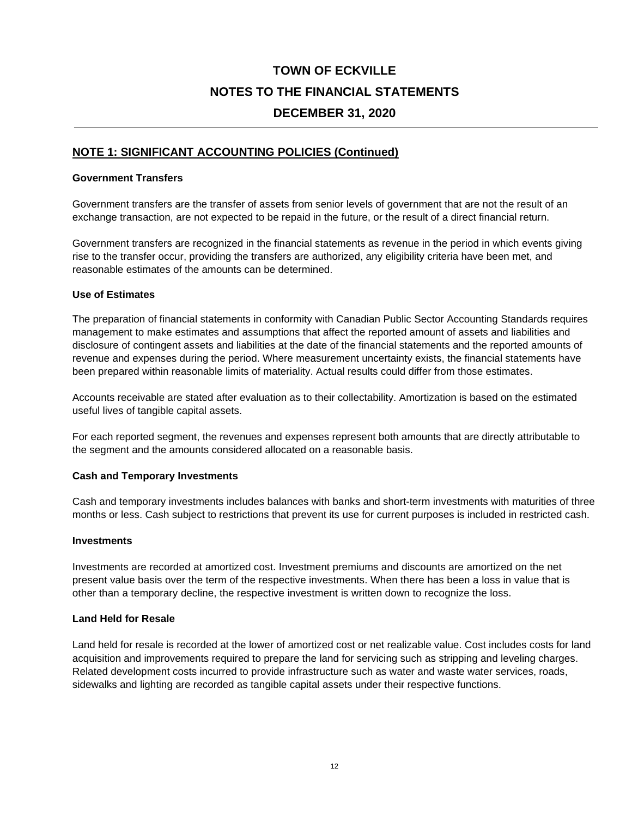### **NOTE 1: SIGNIFICANT ACCOUNTING POLICIES (Continued)**

### **Government Transfers**

Government transfers are the transfer of assets from senior levels of government that are not the result of an exchange transaction, are not expected to be repaid in the future, or the result of a direct financial return.

Government transfers are recognized in the financial statements as revenue in the period in which events giving rise to the transfer occur, providing the transfers are authorized, any eligibility criteria have been met, and reasonable estimates of the amounts can be determined.

### **Use of Estimates**

The preparation of financial statements in conformity with Canadian Public Sector Accounting Standards requires management to make estimates and assumptions that affect the reported amount of assets and liabilities and disclosure of contingent assets and liabilities at the date of the financial statements and the reported amounts of revenue and expenses during the period. Where measurement uncertainty exists, the financial statements have been prepared within reasonable limits of materiality. Actual results could differ from those estimates.

Accounts receivable are stated after evaluation as to their collectability. Amortization is based on the estimated useful lives of tangible capital assets.

For each reported segment, the revenues and expenses represent both amounts that are directly attributable to the segment and the amounts considered allocated on a reasonable basis.

### **Cash and Temporary Investments**

Cash and temporary investments includes balances with banks and short-term investments with maturities of three months or less. Cash subject to restrictions that prevent its use for current purposes is included in restricted cash.

### **Investments**

Investments are recorded at amortized cost. Investment premiums and discounts are amortized on the net present value basis over the term of the respective investments. When there has been a loss in value that is other than a temporary decline, the respective investment is written down to recognize the loss.

### **Land Held for Resale**

Land held for resale is recorded at the lower of amortized cost or net realizable value. Cost includes costs for land acquisition and improvements required to prepare the land for servicing such as stripping and leveling charges. Related development costs incurred to provide infrastructure such as water and waste water services, roads, sidewalks and lighting are recorded as tangible capital assets under their respective functions.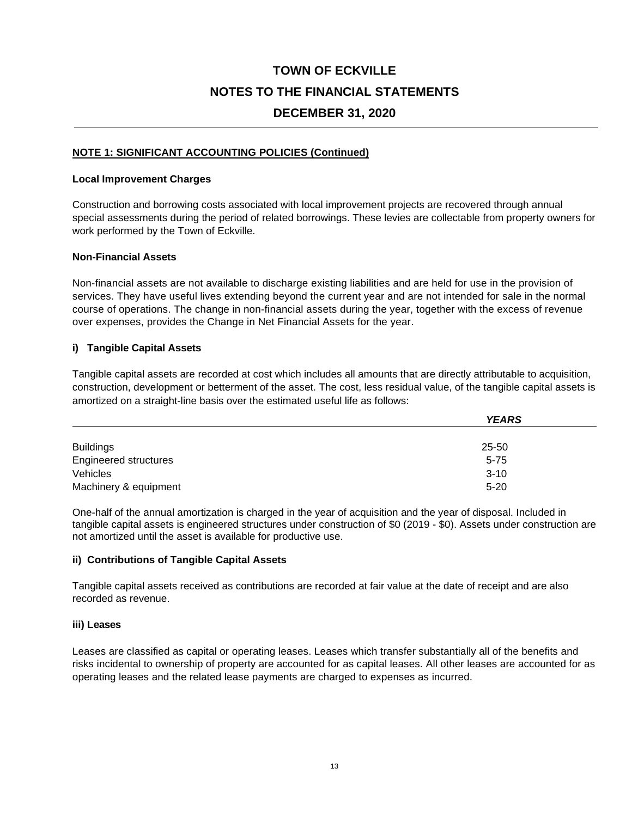### **NOTE 1: SIGNIFICANT ACCOUNTING POLICIES (Continued)**

### **Local Improvement Charges**

Construction and borrowing costs associated with local improvement projects are recovered through annual special assessments during the period of related borrowings. These levies are collectable from property owners for work performed by the Town of Eckville.

### **Non-Financial Assets**

Non-financial assets are not available to discharge existing liabilities and are held for use in the provision of services. They have useful lives extending beyond the current year and are not intended for sale in the normal course of operations. The change in non-financial assets during the year, together with the excess of revenue over expenses, provides the Change in Net Financial Assets for the year.

### **i) Tangible Capital Assets**

Tangible capital assets are recorded at cost which includes all amounts that are directly attributable to acquisition, construction, development or betterment of the asset. The cost, less residual value, of the tangible capital assets is amortized on a straight-line basis over the estimated useful life as follows:

|                              | <b>YEARS</b> |
|------------------------------|--------------|
|                              |              |
| <b>Buildings</b>             | $25 - 50$    |
| <b>Engineered structures</b> | $5 - 75$     |
| Vehicles                     | $3 - 10$     |
| Machinery & equipment        | $5 - 20$     |

One-half of the annual amortization is charged in the year of acquisition and the year of disposal. Included in tangible capital assets is engineered structures under construction of \$0 (2019 - \$0). Assets under construction are not amortized until the asset is available for productive use.

### **ii) Contributions of Tangible Capital Assets**

Tangible capital assets received as contributions are recorded at fair value at the date of receipt and are also recorded as revenue.

### **iii) Leases**

Leases are classified as capital or operating leases. Leases which transfer substantially all of the benefits and risks incidental to ownership of property are accounted for as capital leases. All other leases are accounted for as operating leases and the related lease payments are charged to expenses as incurred.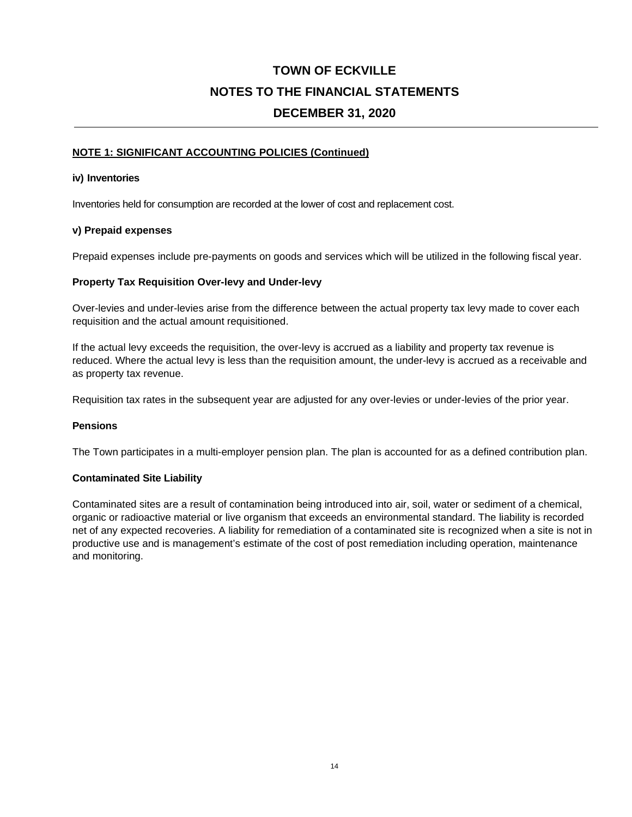### **NOTE 1: SIGNIFICANT ACCOUNTING POLICIES (Continued)**

#### **iv) Inventories**

Inventories held for consumption are recorded at the lower of cost and replacement cost.

### **v) Prepaid expenses**

Prepaid expenses include pre-payments on goods and services which will be utilized in the following fiscal year.

### **Property Tax Requisition Over-levy and Under-levy**

Over-levies and under-levies arise from the difference between the actual property tax levy made to cover each requisition and the actual amount requisitioned.

If the actual levy exceeds the requisition, the over-levy is accrued as a liability and property tax revenue is reduced. Where the actual levy is less than the requisition amount, the under-levy is accrued as a receivable and as property tax revenue.

Requisition tax rates in the subsequent year are adjusted for any over-levies or under-levies of the prior year.

### **Pensions**

The Town participates in a multi-employer pension plan. The plan is accounted for as a defined contribution plan.

#### **Contaminated Site Liability**

Contaminated sites are a result of contamination being introduced into air, soil, water or sediment of a chemical, organic or radioactive material or live organism that exceeds an environmental standard. The liability is recorded net of any expected recoveries. A liability for remediation of a contaminated site is recognized when a site is not in productive use and is management's estimate of the cost of post remediation including operation, maintenance and monitoring.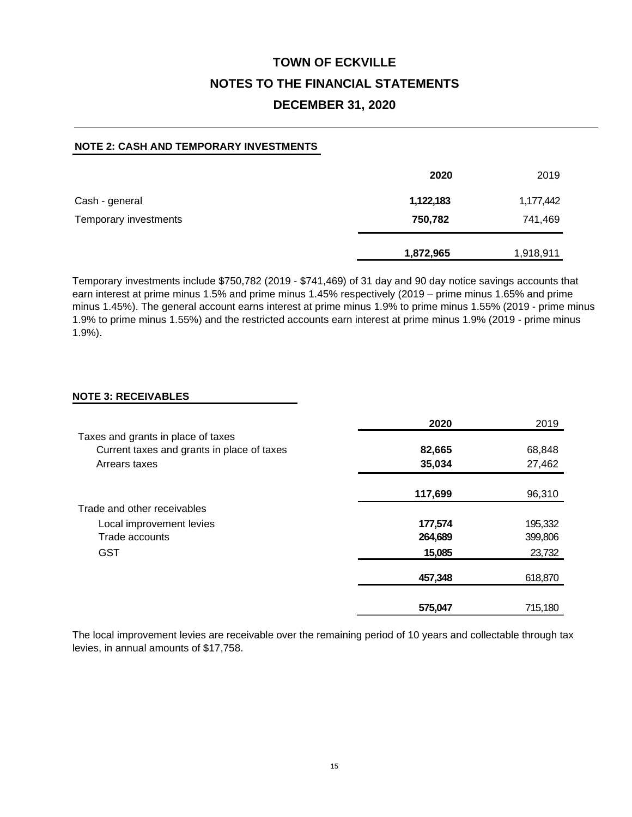### **NOTE 2: CASH AND TEMPORARY INVESTMENTS**

|                       | 2020      | 2019      |
|-----------------------|-----------|-----------|
| Cash - general        | 1,122,183 | 1,177,442 |
| Temporary investments | 750,782   | 741,469   |
|                       | 1,872,965 | 1,918,911 |

Temporary investments include \$750,782 (2019 - \$741,469) of 31 day and 90 day notice savings accounts that earn interest at prime minus 1.5% and prime minus 1.45% respectively (2019 – prime minus 1.65% and prime minus 1.45%). The general account earns interest at prime minus 1.9% to prime minus 1.55% (2019 - prime minus 1.9% to prime minus 1.55%) and the restricted accounts earn interest at prime minus 1.9% (2019 - prime minus 1.9%).

### **NOTE 3: RECEIVABLES**

|                                            | 2020    | 2019    |
|--------------------------------------------|---------|---------|
| Taxes and grants in place of taxes         |         |         |
| Current taxes and grants in place of taxes | 82,665  | 68,848  |
| Arrears taxes                              | 35,034  | 27,462  |
|                                            |         |         |
|                                            | 117,699 | 96,310  |
| Trade and other receivables                |         |         |
| Local improvement levies                   | 177,574 | 195,332 |
| Trade accounts                             | 264,689 | 399,806 |
| <b>GST</b>                                 | 15,085  | 23,732  |
|                                            | 457,348 | 618,870 |
|                                            |         |         |
|                                            | 575,047 | 715,180 |

The local improvement levies are receivable over the remaining period of 10 years and collectable through tax levies, in annual amounts of \$17,758.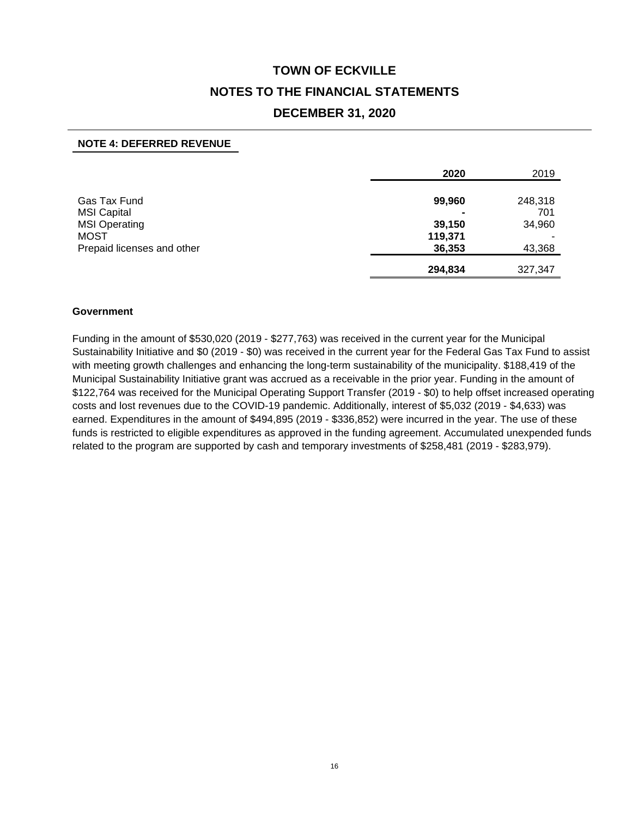#### **NOTE 4: DEFERRED REVENUE**

|                            | 2020    | 2019    |
|----------------------------|---------|---------|
| Gas Tax Fund               | 99,960  | 248,318 |
| <b>MSI Capital</b>         |         | 701     |
| <b>MSI Operating</b>       | 39,150  | 34,960  |
| <b>MOST</b>                | 119,371 |         |
| Prepaid licenses and other | 36,353  | 43,368  |
|                            | 294,834 | 327,347 |

### **Government**

Funding in the amount of \$530,020 (2019 - \$277,763) was received in the current year for the Municipal Sustainability Initiative and \$0 (2019 - \$0) was received in the current year for the Federal Gas Tax Fund to assist with meeting growth challenges and enhancing the long-term sustainability of the municipality. \$188,419 of the Municipal Sustainability Initiative grant was accrued as a receivable in the prior year. Funding in the amount of \$122,764 was received for the Municipal Operating Support Transfer (2019 - \$0) to help offset increased operating costs and lost revenues due to the COVID-19 pandemic. Additionally, interest of \$5,032 (2019 - \$4,633) was earned. Expenditures in the amount of \$494,895 (2019 - \$336,852) were incurred in the year. The use of these funds is restricted to eligible expenditures as approved in the funding agreement. Accumulated unexpended funds related to the program are supported by cash and temporary investments of \$258,481 (2019 - \$283,979).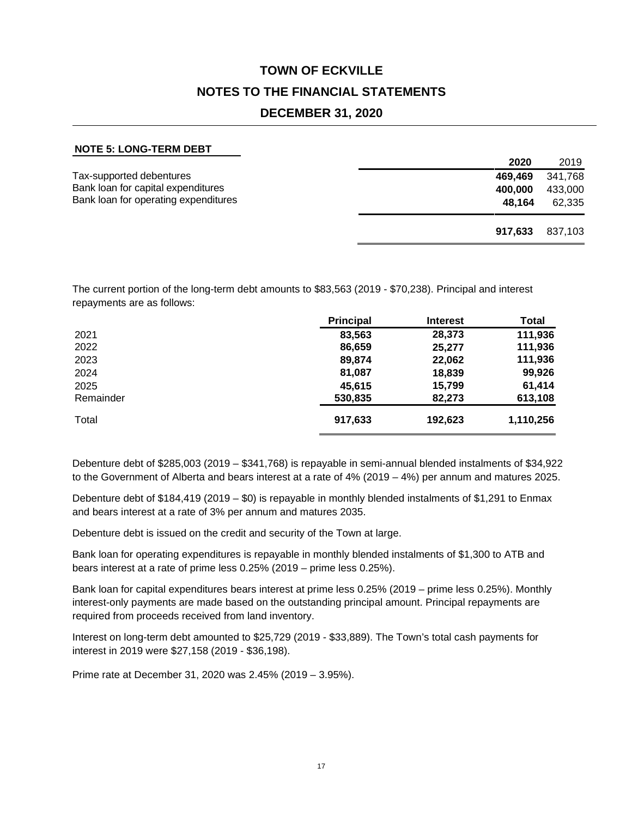# **TOWN OF ECKVILLE NOTES TO THE FINANCIAL STATEMENTS**

### **DECEMBER 31, 2020**

### **NOTE 5: LONG-TERM DEBT**

|                                      | 2020    | 2019    |
|--------------------------------------|---------|---------|
| Tax-supported debentures             | 469.469 | 341,768 |
| Bank loan for capital expenditures   | 400,000 | 433,000 |
| Bank loan for operating expenditures | 48.164  | 62.335  |
|                                      | 917,633 | 837,103 |

The current portion of the long-term debt amounts to \$83,563 (2019 - \$70,238). Principal and interest repayments are as follows:

|           | <b>Principal</b> | <b>Interest</b> | <b>Total</b> |
|-----------|------------------|-----------------|--------------|
| 2021      | 83,563           | 28,373          | 111,936      |
| 2022      | 86,659           | 25,277          | 111,936      |
| 2023      | 89,874           | 22,062          | 111,936      |
| 2024      | 81,087           | 18,839          | 99,926       |
| 2025      | 45,615           | 15,799          | 61,414       |
| Remainder | 530,835          | 82.273          | 613,108      |
| Total     | 917,633          | 192,623         | 1,110,256    |

Debenture debt of \$285,003 (2019 – \$341,768) is repayable in semi-annual blended instalments of \$34,922 to the Government of Alberta and bears interest at a rate of 4% (2019 – 4%) per annum and matures 2025.

Debenture debt of \$184,419 (2019 – \$0) is repayable in monthly blended instalments of \$1,291 to Enmax and bears interest at a rate of 3% per annum and matures 2035.

Debenture debt is issued on the credit and security of the Town at large.

Bank loan for operating expenditures is repayable in monthly blended instalments of \$1,300 to ATB and bears interest at a rate of prime less 0.25% (2019 – prime less 0.25%).

Bank loan for capital expenditures bears interest at prime less 0.25% (2019 – prime less 0.25%). Monthly interest-only payments are made based on the outstanding principal amount. Principal repayments are required from proceeds received from land inventory.

Interest on long-term debt amounted to \$25,729 (2019 - \$33,889). The Town's total cash payments for interest in 2019 were \$27,158 (2019 - \$36,198).

Prime rate at December 31, 2020 was 2.45% (2019 – 3.95%).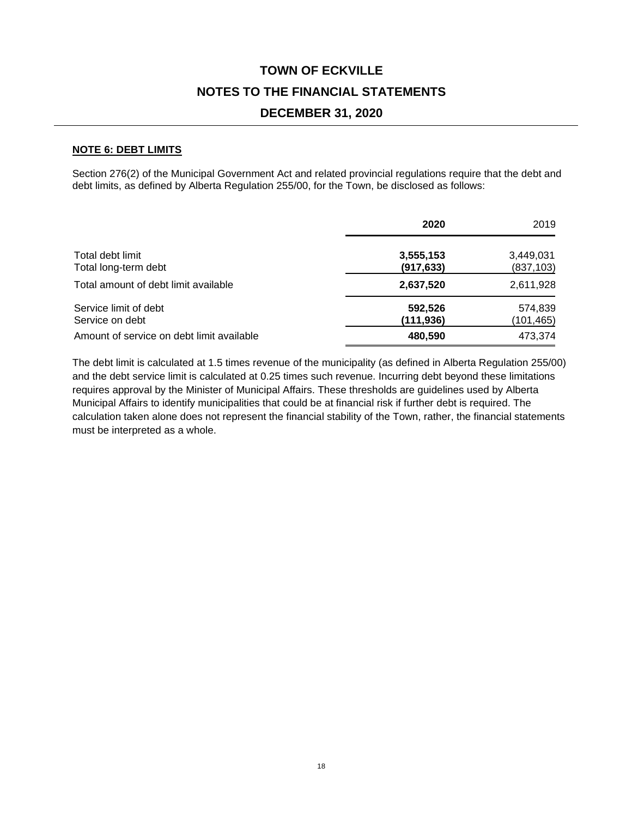# **TOWN OF ECKVILLE NOTES TO THE FINANCIAL STATEMENTS**

### **DECEMBER 31, 2020**

#### **NOTE 6: DEBT LIMITS**

Section 276(2) of the Municipal Government Act and related provincial regulations require that the debt and debt limits, as defined by Alberta Regulation 255/00, for the Town, be disclosed as follows:

|                                           | 2020                    | 2019                    |
|-------------------------------------------|-------------------------|-------------------------|
| Total debt limit<br>Total long-term debt  | 3,555,153<br>(917, 633) | 3,449,031<br>(837, 103) |
| Total amount of debt limit available      | 2,637,520               | 2,611,928               |
| Service limit of debt<br>Service on debt  | 592,526<br>(111,936)    | 574,839<br>(101,465)    |
| Amount of service on debt limit available | 480,590                 | 473.374                 |

The debt limit is calculated at 1.5 times revenue of the municipality (as defined in Alberta Regulation 255/00) and the debt service limit is calculated at 0.25 times such revenue. Incurring debt beyond these limitations requires approval by the Minister of Municipal Affairs. These thresholds are guidelines used by Alberta Municipal Affairs to identify municipalities that could be at financial risk if further debt is required. The calculation taken alone does not represent the financial stability of the Town, rather, the financial statements must be interpreted as a whole.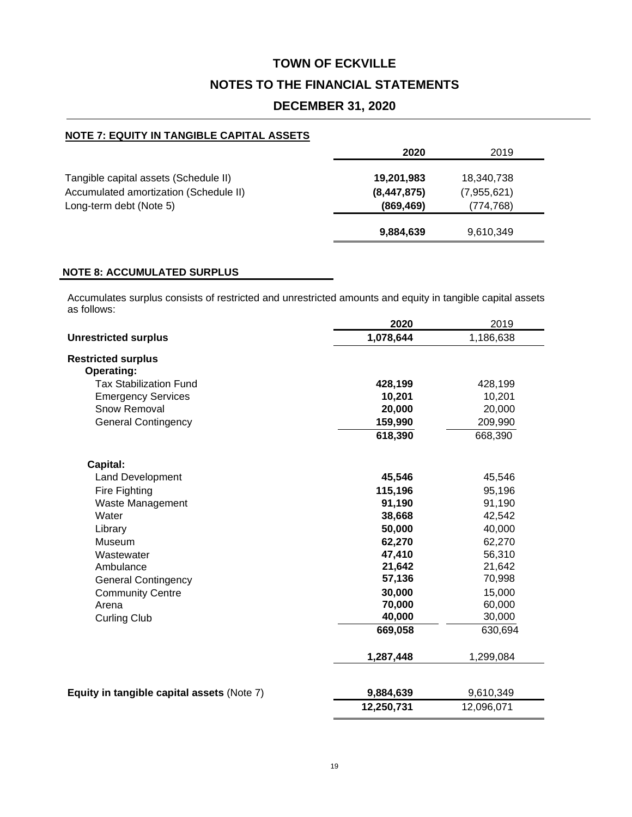# **TOWN OF ECKVILLE NOTES TO THE FINANCIAL STATEMENTS**

### **DECEMBER 31, 2020**

### **NOTE 7: EQUITY IN TANGIBLE CAPITAL ASSETS**

|                                        | 2020          | 2019        |
|----------------------------------------|---------------|-------------|
| Tangible capital assets (Schedule II)  | 19,201,983    | 18,340,738  |
| Accumulated amortization (Schedule II) | (8, 447, 875) | (7,955,621) |
| Long-term debt (Note 5)                | (869, 469)    | (774, 768)  |
|                                        | 9,884,639     | 9,610,349   |

### **NOTE 8: ACCUMULATED SURPLUS**

Accumulates surplus consists of restricted and unrestricted amounts and equity in tangible capital assets as follows:

|                                            | 2020       | 2019       |
|--------------------------------------------|------------|------------|
| <b>Unrestricted surplus</b>                | 1,078,644  | 1,186,638  |
| <b>Restricted surplus</b>                  |            |            |
| <b>Operating:</b>                          |            |            |
| <b>Tax Stabilization Fund</b>              | 428,199    | 428,199    |
| <b>Emergency Services</b>                  | 10,201     | 10,201     |
| Snow Removal                               | 20,000     | 20,000     |
| <b>General Contingency</b>                 | 159,990    | 209,990    |
|                                            | 618,390    | 668,390    |
| Capital:                                   |            |            |
| Land Development                           | 45,546     | 45,546     |
| Fire Fighting                              | 115,196    | 95,196     |
| Waste Management                           | 91,190     | 91,190     |
| Water                                      | 38,668     | 42,542     |
| Library                                    | 50,000     | 40,000     |
| Museum                                     | 62,270     | 62,270     |
| Wastewater                                 | 47,410     | 56,310     |
| Ambulance                                  | 21,642     | 21,642     |
| <b>General Contingency</b>                 | 57,136     | 70,998     |
| <b>Community Centre</b>                    | 30,000     | 15,000     |
| Arena                                      | 70,000     | 60,000     |
| <b>Curling Club</b>                        | 40,000     | 30,000     |
|                                            | 669,058    | 630,694    |
|                                            | 1,287,448  | 1,299,084  |
| Equity in tangible capital assets (Note 7) | 9,884,639  | 9,610,349  |
|                                            | 12,250,731 | 12,096,071 |
|                                            |            |            |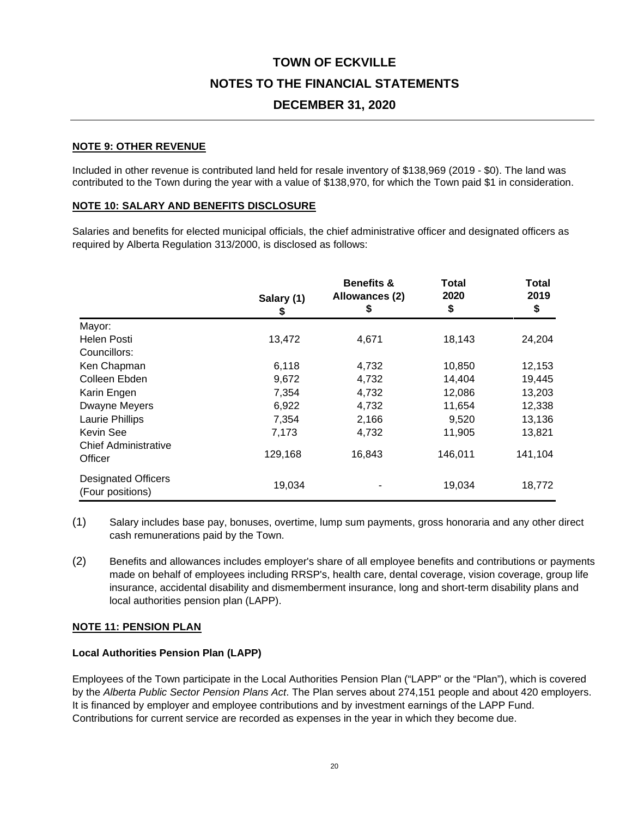### **NOTE 9: OTHER REVENUE**

Included in other revenue is contributed land held for resale inventory of \$138,969 (2019 - \$0). The land was contributed to the Town during the year with a value of \$138,970, for which the Town paid \$1 in consideration.

### **NOTE 10: SALARY AND BENEFITS DISCLOSURE**

Salaries and benefits for elected municipal officials, the chief administrative officer and designated officers as required by Alberta Regulation 313/2000, is disclosed as follows:

|                                                | Salary (1)<br>\$ | <b>Benefits &amp;</b><br>Allowances (2)<br>\$ | <b>Total</b><br>2020<br>\$ | Total<br>2019<br>\$ |
|------------------------------------------------|------------------|-----------------------------------------------|----------------------------|---------------------|
| Mayor:                                         |                  |                                               |                            |                     |
| Helen Posti                                    | 13,472           | 4,671                                         | 18,143                     | 24,204              |
| Councillors:                                   |                  |                                               |                            |                     |
| Ken Chapman                                    | 6,118            | 4,732                                         | 10,850                     | 12,153              |
| Colleen Ebden                                  | 9,672            | 4,732                                         | 14,404                     | 19,445              |
| Karin Engen                                    | 7,354            | 4,732                                         | 12,086                     | 13,203              |
| Dwayne Meyers                                  | 6,922            | 4,732                                         | 11,654                     | 12,338              |
| Laurie Phillips                                | 7,354            | 2,166                                         | 9,520                      | 13,136              |
| <b>Kevin See</b>                               | 7,173            | 4,732                                         | 11,905                     | 13,821              |
| <b>Chief Administrative</b><br>Officer         | 129,168          | 16,843                                        | 146,011                    | 141,104             |
| <b>Designated Officers</b><br>(Four positions) | 19,034           |                                               | 19,034                     | 18,772              |

- (1) Salary includes base pay, bonuses, overtime, lump sum payments, gross honoraria and any other direct cash remunerations paid by the Town.
- (2) Benefits and allowances includes employer's share of all employee benefits and contributions or payments made on behalf of employees including RRSP's, health care, dental coverage, vision coverage, group life insurance, accidental disability and dismemberment insurance, long and short-term disability plans and local authorities pension plan (LAPP).

### **NOTE 11: PENSION PLAN**

### **Local Authorities Pension Plan (LAPP)**

Employees of the Town participate in the Local Authorities Pension Plan ("LAPP" or the "Plan"), which is covered by the *Alberta Public Sector Pension Plans Act*. The Plan serves about 274,151 people and about 420 employers. It is financed by employer and employee contributions and by investment earnings of the LAPP Fund. Contributions for current service are recorded as expenses in the year in which they become due.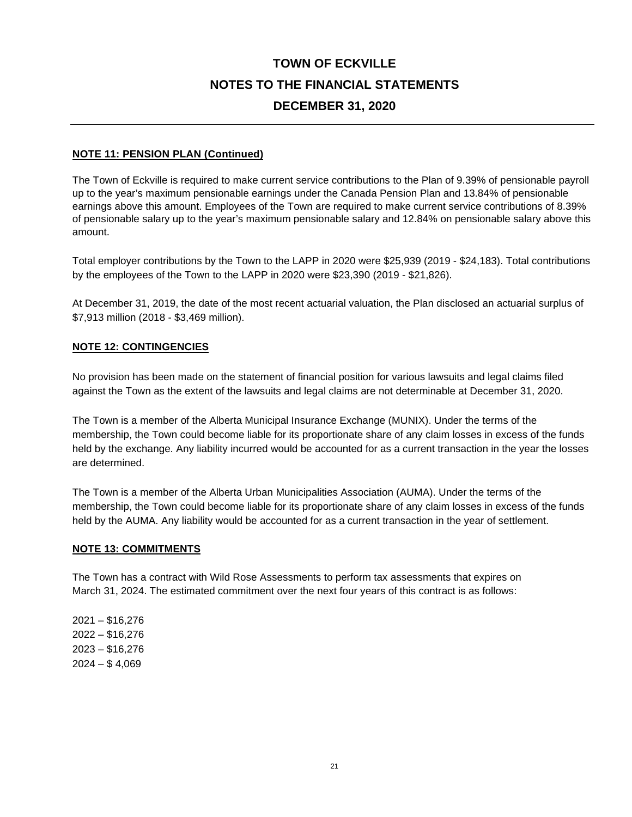### **NOTE 11: PENSION PLAN (Continued)**

The Town of Eckville is required to make current service contributions to the Plan of 9.39% of pensionable payroll up to the year's maximum pensionable earnings under the Canada Pension Plan and 13.84% of pensionable earnings above this amount. Employees of the Town are required to make current service contributions of 8.39% of pensionable salary up to the year's maximum pensionable salary and 12.84% on pensionable salary above this amount.

Total employer contributions by the Town to the LAPP in 2020 were \$25,939 (2019 - \$24,183). Total contributions by the employees of the Town to the LAPP in 2020 were \$23,390 (2019 - \$21,826).

At December 31, 2019, the date of the most recent actuarial valuation, the Plan disclosed an actuarial surplus of \$7,913 million (2018 - \$3,469 million).

### **NOTE 12: CONTINGENCIES**

No provision has been made on the statement of financial position for various lawsuits and legal claims filed against the Town as the extent of the lawsuits and legal claims are not determinable at December 31, 2020.

The Town is a member of the Alberta Municipal Insurance Exchange (MUNIX). Under the terms of the membership, the Town could become liable for its proportionate share of any claim losses in excess of the funds held by the exchange. Any liability incurred would be accounted for as a current transaction in the year the losses are determined.

The Town is a member of the Alberta Urban Municipalities Association (AUMA). Under the terms of the membership, the Town could become liable for its proportionate share of any claim losses in excess of the funds held by the AUMA. Any liability would be accounted for as a current transaction in the year of settlement.

### **NOTE 13: COMMITMENTS**

The Town has a contract with Wild Rose Assessments to perform tax assessments that expires on March 31, 2024. The estimated commitment over the next four years of this contract is as follows:

2021 – \$16,276 2022 – \$16,276 2023 – \$16,276  $2024 - $4,069$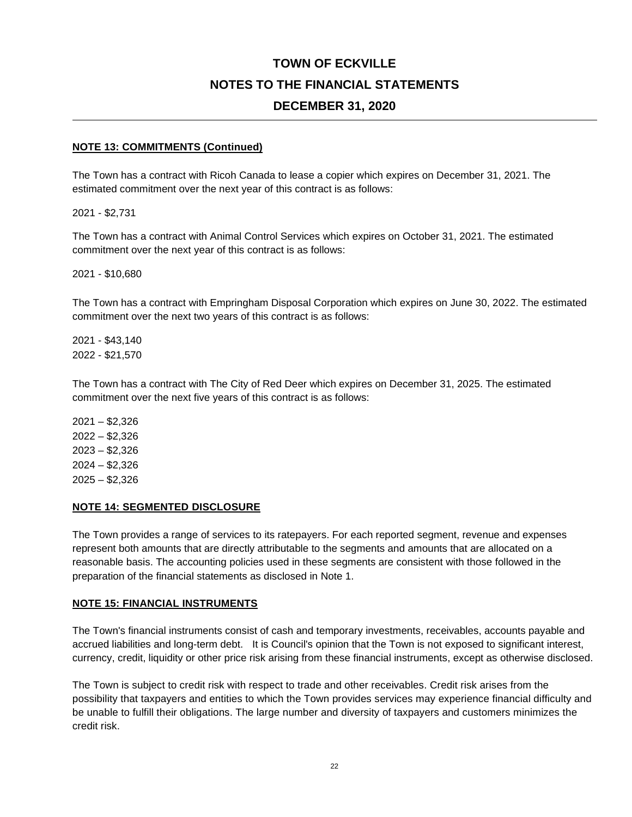### **NOTE 13: COMMITMENTS (Continued)**

The Town has a contract with Ricoh Canada to lease a copier which expires on December 31, 2021. The estimated commitment over the next year of this contract is as follows:

2021 - \$2,731

The Town has a contract with Animal Control Services which expires on October 31, 2021. The estimated commitment over the next year of this contract is as follows:

2021 - \$10,680

The Town has a contract with Empringham Disposal Corporation which expires on June 30, 2022. The estimated commitment over the next two years of this contract is as follows:

2021 - \$43,140 2022 - \$21,570

The Town has a contract with The City of Red Deer which expires on December 31, 2025. The estimated commitment over the next five years of this contract is as follows:

2021 – \$2,326 2022 – \$2,326 2023 – \$2,326 2024 – \$2,326 2025 – \$2,326

### **NOTE 14: SEGMENTED DISCLOSURE**

The Town provides a range of services to its ratepayers. For each reported segment, revenue and expenses represent both amounts that are directly attributable to the segments and amounts that are allocated on a reasonable basis. The accounting policies used in these segments are consistent with those followed in the preparation of the financial statements as disclosed in Note 1.

### **NOTE 15: FINANCIAL INSTRUMENTS**

The Town's financial instruments consist of cash and temporary investments, receivables, accounts payable and accrued liabilities and long-term debt. It is Council's opinion that the Town is not exposed to significant interest, currency, credit, liquidity or other price risk arising from these financial instruments, except as otherwise disclosed.

The Town is subject to credit risk with respect to trade and other receivables. Credit risk arises from the possibility that taxpayers and entities to which the Town provides services may experience financial difficulty and be unable to fulfill their obligations. The large number and diversity of taxpayers and customers minimizes the credit risk.